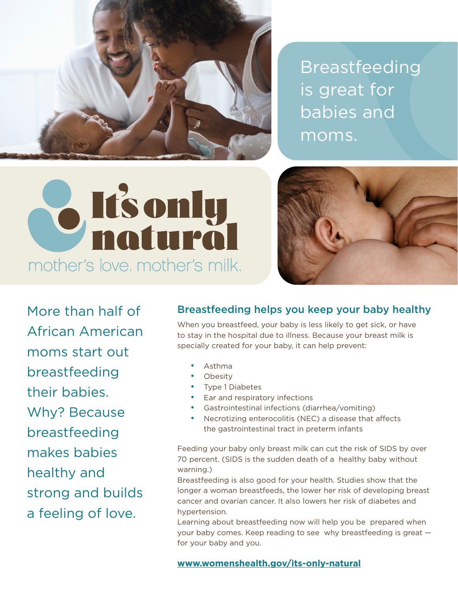

Breastfeeding is great for babies and moms.





More than half of African American moms start out breastfeeding their babies. Why? Because breastfeeding makes babies healthy and strong and builds a feeling of love.

### Breastfeeding helps you keep your baby healthy

When you breastfeed, your baby is less likely to get sick, or have to stay in the hospital due to illness. Because your breast milk is specially created for your baby, it can help prevent:

- Asthma
- **Obesity**
- Type 1 Diabetes
- Ear and respiratory infections
- Gastrointestinal infections (diarrhea/vomiting)
- Necrotizing enterocolitis (NEC) a disease that affects the gastrointestinal tract in preterm infants

Feeding your baby only breast milk can cut the risk of SIDS by over 70 percent. (SIDS is the sudden death of a healthy baby without warning.)

Breastfeeding is also good for your health. Studies show that the longer a woman breastfeeds, the lower her risk of developing breast cancer and ovarian cancer. It also lowers her risk of diabetes and hypertension.

Learning about breastfeeding now will help you be prepared when your baby comes. Keep reading to see why breastfeeding is great for your baby and you.

#### **[www.womenshealth.gov/its-only-natural](https://www.womenshealth.gov/its-only-natural)**